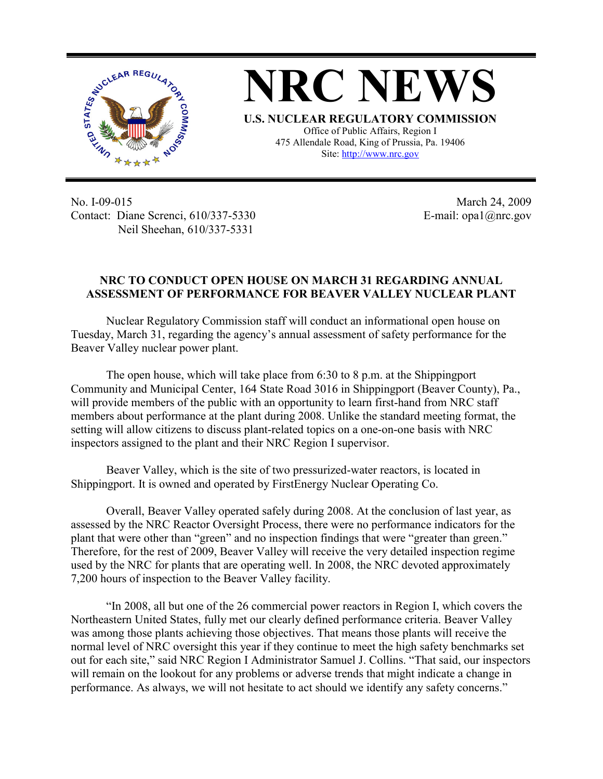

**NRC NEWS U.S. NUCLEAR REGULATORY COMMISSION** Office of Public Affairs, Region I 475 Allendale Road, King of Prussia, Pa. 19406 Site: http://www.nrc.gov

No. I-09-015 Contact: Diane Screnci, 610/337-5330 Neil Sheehan, 610/337-5331

March 24, 2009 E-mail: opa1@nrc.gov

## **NRC TO CONDUCT OPEN HOUSE ON MARCH 31 REGARDING ANNUAL ASSESSMENT OF PERFORMANCE FOR BEAVER VALLEY NUCLEAR PLANT**

Nuclear Regulatory Commission staff will conduct an informational open house on Tuesday, March 31, regarding the agency's annual assessment of safety performance for the Beaver Valley nuclear power plant.

The open house, which will take place from 6:30 to 8 p.m. at the Shippingport Community and Municipal Center, 164 State Road 3016 in Shippingport (Beaver County), Pa., will provide members of the public with an opportunity to learn first-hand from NRC staff members about performance at the plant during 2008. Unlike the standard meeting format, the setting will allow citizens to discuss plant-related topics on a one-on-one basis with NRC inspectors assigned to the plant and their NRC Region I supervisor.

Beaver Valley, which is the site of two pressurized-water reactors, is located in Shippingport. It is owned and operated by FirstEnergy Nuclear Operating Co.

Overall, Beaver Valley operated safely during 2008. At the conclusion of last year, as assessed by the NRC Reactor Oversight Process, there were no performance indicators for the plant that were other than "green" and no inspection findings that were "greater than green." Therefore, for the rest of 2009, Beaver Valley will receive the very detailed inspection regime used by the NRC for plants that are operating well. In 2008, the NRC devoted approximately 7,200 hours of inspection to the Beaver Valley facility.

"In 2008, all but one of the 26 commercial power reactors in Region I, which covers the Northeastern United States, fully met our clearly defined performance criteria. Beaver Valley was among those plants achieving those objectives. That means those plants will receive the normal level of NRC oversight this year if they continue to meet the high safety benchmarks set out for each site," said NRC Region I Administrator Samuel J. Collins. "That said, our inspectors will remain on the lookout for any problems or adverse trends that might indicate a change in performance. As always, we will not hesitate to act should we identify any safety concerns."